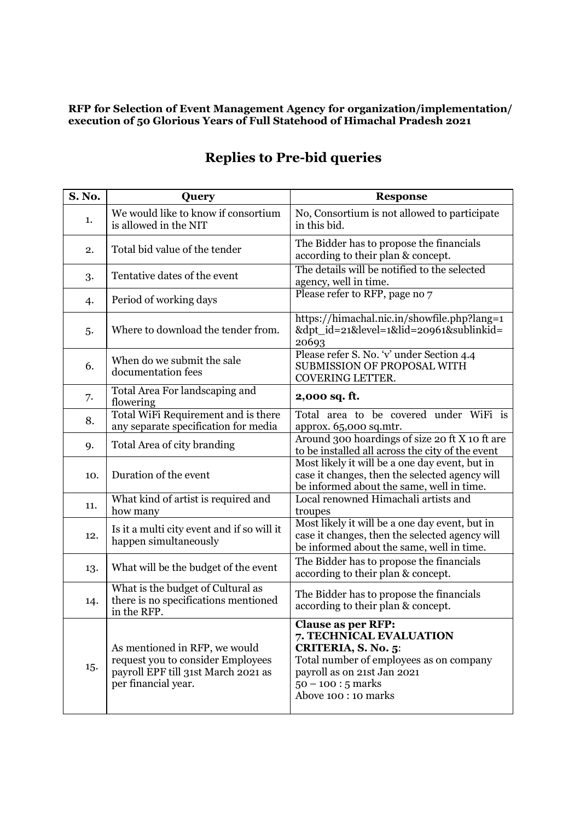## **RFP for Selection of Event Management Agency for organization/implementation/ execution of 50 Glorious Years of Full Statehood of Himachal Pradesh 2021**

| S. No. | Query                                                                                                                            | <b>Response</b>                                                                                                                                                                                       |
|--------|----------------------------------------------------------------------------------------------------------------------------------|-------------------------------------------------------------------------------------------------------------------------------------------------------------------------------------------------------|
| 1.     | We would like to know if consortium<br>is allowed in the NIT                                                                     | No, Consortium is not allowed to participate<br>in this bid.                                                                                                                                          |
| 2.     | Total bid value of the tender                                                                                                    | The Bidder has to propose the financials<br>according to their plan & concept.                                                                                                                        |
| 3.     | Tentative dates of the event                                                                                                     | The details will be notified to the selected<br>agency, well in time.                                                                                                                                 |
| 4.     | Period of working days                                                                                                           | Please refer to RFP, page no 7                                                                                                                                                                        |
| 5.     | Where to download the tender from.                                                                                               | https://himachal.nic.in/showfile.php?lang=1<br>&dpt_id=21&level=1&lid=20961&sublinkid=<br>20693                                                                                                       |
| 6.     | When do we submit the sale<br>documentation fees                                                                                 | Please refer S. No. 'v' under Section 4.4<br>SUBMISSION OF PROPOSAL WITH<br>COVERING LETTER.                                                                                                          |
| 7.     | Total Area For landscaping and<br>flowering                                                                                      | 2,000 sq. ft.                                                                                                                                                                                         |
| 8.     | Total WiFi Requirement and is there<br>any separate specification for media                                                      | Total area to be covered under WiFi is<br>approx. 65,000 sq.mtr.                                                                                                                                      |
| 9.     | Total Area of city branding                                                                                                      | Around 300 hoardings of size 20 ft X 10 ft are<br>to be installed all across the city of the event                                                                                                    |
| 10.    | Duration of the event                                                                                                            | Most likely it will be a one day event, but in<br>case it changes, then the selected agency will<br>be informed about the same, well in time.                                                         |
| 11.    | What kind of artist is required and<br>how many                                                                                  | Local renowned Himachali artists and<br>troupes                                                                                                                                                       |
| 12.    | Is it a multi city event and if so will it<br>happen simultaneously                                                              | Most likely it will be a one day event, but in<br>case it changes, then the selected agency will<br>be informed about the same, well in time.                                                         |
| 13.    | What will be the budget of the event                                                                                             | The Bidder has to propose the financials<br>according to their plan & concept.                                                                                                                        |
| 14.    | What is the budget of Cultural as<br>there is no specifications mentioned<br>in the RFP.                                         | The Bidder has to propose the financials<br>according to their plan & concept.                                                                                                                        |
| 15.    | As mentioned in RFP, we would<br>request you to consider Employees<br>payroll EPF till 31st March 2021 as<br>per financial year. | <b>Clause as per RFP:</b><br>7. TECHNICAL EVALUATION<br>CRITERIA, S. No. 5:<br>Total number of employees as on company<br>payroll as on 21st Jan 2021<br>$50 - 100$ : 5 marks<br>Above 100 : 10 marks |

## **Replies to Pre-bid queries**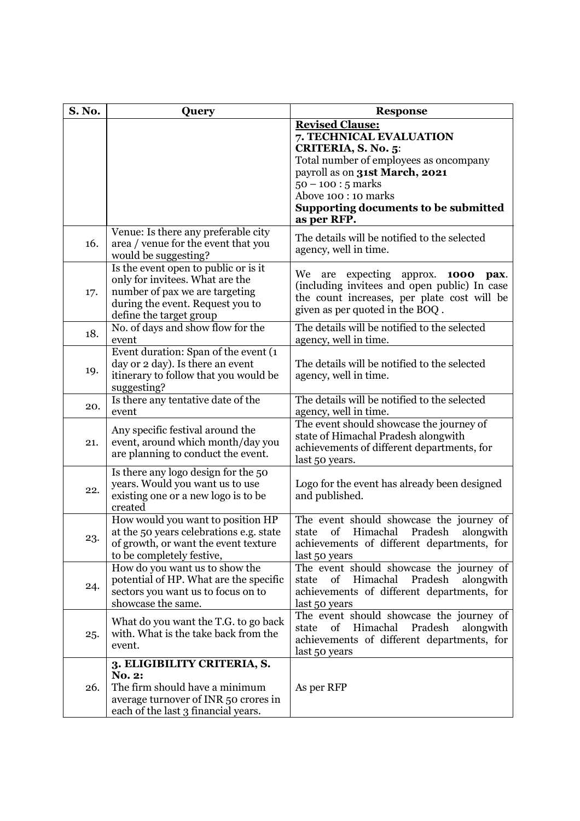| <b>S. No.</b> | Query                                                                                                                                                                    | <b>Response</b>                                                                                                                                                                                                                                             |
|---------------|--------------------------------------------------------------------------------------------------------------------------------------------------------------------------|-------------------------------------------------------------------------------------------------------------------------------------------------------------------------------------------------------------------------------------------------------------|
|               |                                                                                                                                                                          | <b>Revised Clause:</b><br>7. TECHNICAL EVALUATION<br>CRITERIA, S. No. 5:<br>Total number of employees as oncompany<br>payroll as on 31st March, 2021<br>$50 - 100 : 5 marks$<br>Above 100 : 10 marks<br>Supporting documents to be submitted<br>as per RFP. |
| 16.           | Venue: Is there any preferable city<br>area / venue for the event that you<br>would be suggesting?                                                                       | The details will be notified to the selected<br>agency, well in time.                                                                                                                                                                                       |
| 17.           | Is the event open to public or is it<br>only for invitees. What are the<br>number of pax we are targeting<br>during the event. Request you to<br>define the target group | We<br>expecting approx. <b>1000</b><br>are<br>pax.<br>(including invitees and open public) In case<br>the count increases, per plate cost will be<br>given as per quoted in the BOQ.                                                                        |
| 18.           | No. of days and show flow for the<br>event                                                                                                                               | The details will be notified to the selected<br>agency, well in time.                                                                                                                                                                                       |
| 19.           | Event duration: Span of the event (1<br>day or 2 day). Is there an event<br>itinerary to follow that you would be<br>suggesting?                                         | The details will be notified to the selected<br>agency, well in time.                                                                                                                                                                                       |
| 20.           | Is there any tentative date of the<br>event                                                                                                                              | The details will be notified to the selected<br>agency, well in time.                                                                                                                                                                                       |
| 21.           | Any specific festival around the<br>event, around which month/day you<br>are planning to conduct the event.                                                              | The event should showcase the journey of<br>state of Himachal Pradesh alongwith<br>achievements of different departments, for<br>last 50 years.                                                                                                             |
| 22.           | Is there any logo design for the 50<br>years. Would you want us to use<br>existing one or a new logo is to be<br>created                                                 | Logo for the event has already been designed<br>and published.                                                                                                                                                                                              |
| 23.           | How would you want to position HP<br>at the 50 years celebrations e.g. state<br>of growth, or want the event texture<br>to be completely festive,                        | The event should showcase the journey of<br>of<br>Himachal<br>Pradesh<br>alongwith<br>state<br>achievements of different departments, for<br>last 50 years                                                                                                  |
| 24.           | How do you want us to show the<br>potential of HP. What are the specific<br>sectors you want us to focus on to<br>showcase the same.                                     | The event should showcase the journey of<br>of<br>Himachal<br>Pradesh<br>alongwith<br>state<br>achievements of different departments, for<br>last 50 years                                                                                                  |
| 25.           | What do you want the T.G. to go back<br>with. What is the take back from the<br>event.                                                                                   | The event should showcase the journey of<br>of<br>Himachal<br>Pradesh<br>alongwith<br>state<br>achievements of different departments, for<br>last 50 years                                                                                                  |
| 26.           | 3. ELIGIBILITY CRITERIA, S.<br><b>No. 2:</b><br>The firm should have a minimum<br>average turnover of INR 50 crores in<br>each of the last 3 financial years.            | As per RFP                                                                                                                                                                                                                                                  |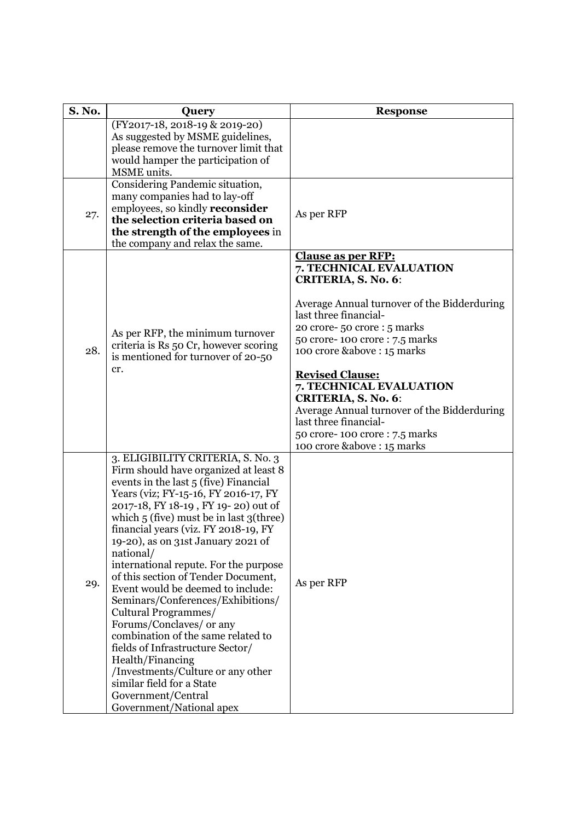| <b>S. No.</b> | Query                                                                       | <b>Response</b>                                                      |
|---------------|-----------------------------------------------------------------------------|----------------------------------------------------------------------|
|               | (FY2017-18, 2018-19 & 2019-20)<br>As suggested by MSME guidelines,          |                                                                      |
|               | please remove the turnover limit that                                       |                                                                      |
|               | would hamper the participation of                                           |                                                                      |
|               | MSME units.                                                                 |                                                                      |
|               | Considering Pandemic situation,<br>many companies had to lay-off            |                                                                      |
|               | employees, so kindly <b>reconsider</b>                                      |                                                                      |
| 27.           | the selection criteria based on                                             | As per RFP                                                           |
|               | the strength of the employees in                                            |                                                                      |
|               | the company and relax the same.                                             | <b>Clause as per RFP:</b>                                            |
|               |                                                                             | 7. TECHNICAL EVALUATION                                              |
|               |                                                                             | <b>CRITERIA, S. No. 6:</b>                                           |
|               |                                                                             |                                                                      |
|               |                                                                             | Average Annual turnover of the Bidderduring<br>last three financial- |
|               |                                                                             | 20 crore-50 crore : 5 marks                                          |
|               | As per RFP, the minimum turnover                                            | 50 crore-100 crore: 7.5 marks                                        |
| 28.           | criteria is Rs 50 Cr, however scoring<br>is mentioned for turnover of 20-50 | 100 crore &above: 15 marks                                           |
|               | cr.                                                                         |                                                                      |
|               |                                                                             | <b>Revised Clause:</b><br>7. TECHNICAL EVALUATION                    |
|               |                                                                             | CRITERIA, S. No. 6:                                                  |
|               |                                                                             | Average Annual turnover of the Bidderduring                          |
|               |                                                                             | last three financial-                                                |
|               |                                                                             | 50 crore-100 crore: 7.5 marks<br>100 crore &above: 15 marks          |
|               | 3. ELIGIBILITY CRITERIA, S. No. 3                                           |                                                                      |
|               | Firm should have organized at least 8                                       |                                                                      |
|               | events in the last 5 (five) Financial                                       |                                                                      |
|               | Years (viz; FY-15-16, FY 2016-17, FY<br>2017-18, FY 18-19, FY 19-20) out of |                                                                      |
|               | which $5$ (five) must be in last $3$ (three)                                |                                                                      |
|               | financial years (viz. FY 2018-19, FY                                        |                                                                      |
|               | 19-20), as on 31st January 2021 of                                          |                                                                      |
|               | national/<br>international repute. For the purpose                          |                                                                      |
|               | of this section of Tender Document,                                         |                                                                      |
| 29.           | Event would be deemed to include:                                           | As per RFP                                                           |
|               | Seminars/Conferences/Exhibitions/                                           |                                                                      |
|               | Cultural Programmes/<br>Forums/Conclaves/ or any                            |                                                                      |
|               | combination of the same related to                                          |                                                                      |
|               | fields of Infrastructure Sector/                                            |                                                                      |
|               | Health/Financing                                                            |                                                                      |
|               | /Investments/Culture or any other                                           |                                                                      |
|               | similar field for a State<br>Government/Central                             |                                                                      |
|               | Government/National apex                                                    |                                                                      |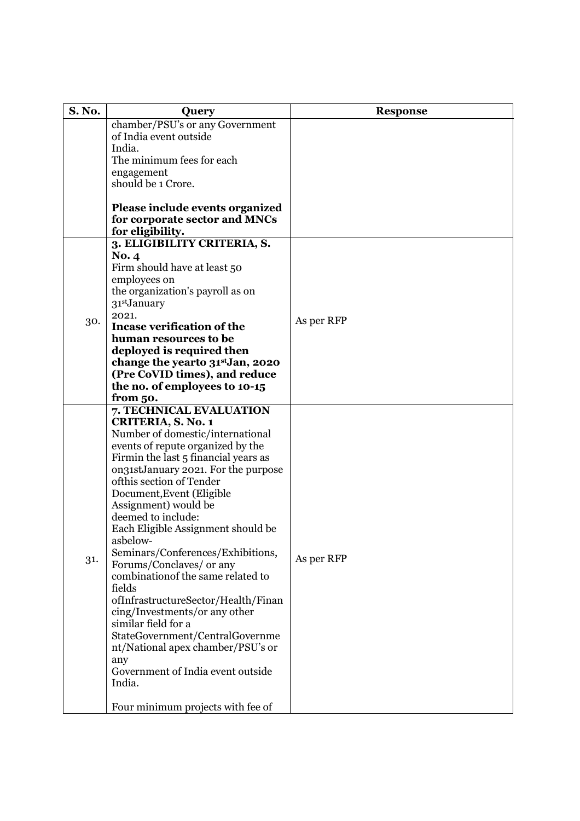| <b>S. No.</b> | <b>Query</b>                                 | <b>Response</b> |
|---------------|----------------------------------------------|-----------------|
|               | chamber/PSU's or any Government              |                 |
|               | of India event outside                       |                 |
|               | India.                                       |                 |
|               | The minimum fees for each                    |                 |
|               | engagement                                   |                 |
|               | should be 1 Crore.                           |                 |
|               |                                              |                 |
|               | Please include events organized              |                 |
|               | for corporate sector and MNCs                |                 |
|               | for eligibility.                             |                 |
|               | 3. ELIGIBILITY CRITERIA, S.                  |                 |
|               | <b>No. 4</b>                                 |                 |
|               | Firm should have at least 50<br>employees on |                 |
|               | the organization's payroll as on             |                 |
|               | 31 <sup>st</sup> January                     |                 |
|               | 2021.                                        |                 |
| 30.           | <b>Incase verification of the</b>            | As per RFP      |
|               | human resources to be                        |                 |
|               | deployed is required then                    |                 |
|               | change the yearto 31st Jan, 2020             |                 |
|               | (Pre CoVID times), and reduce                |                 |
|               | the no. of employees to 10-15                |                 |
|               | from 50.                                     |                 |
|               | 7. TECHNICAL EVALUATION                      |                 |
|               | CRITERIA, S. No. 1                           |                 |
|               | Number of domestic/international             |                 |
|               | events of repute organized by the            |                 |
|               | Firmin the last 5 financial years as         |                 |
|               | on31stJanuary 2021. For the purpose          |                 |
|               | ofthis section of Tender                     | As per RFP      |
|               | Document, Event (Eligible                    |                 |
|               | Assignment) would be<br>deemed to include:   |                 |
|               | Each Eligible Assignment should be           |                 |
|               | asbelow-                                     |                 |
|               | Seminars/Conferences/Exhibitions,            |                 |
| 31.           | Forums/Conclaves/ or any                     |                 |
|               | combination of the same related to           |                 |
|               | fields                                       |                 |
|               | ofInfrastructureSector/Health/Finan          |                 |
|               | cing/Investments/or any other                |                 |
|               | similar field for a                          |                 |
|               | StateGovernment/CentralGovernme              |                 |
|               | nt/National apex chamber/PSU's or            |                 |
|               | any                                          |                 |
|               | Government of India event outside            |                 |
|               | India.                                       |                 |
|               | Four minimum projects with fee of            |                 |
|               |                                              |                 |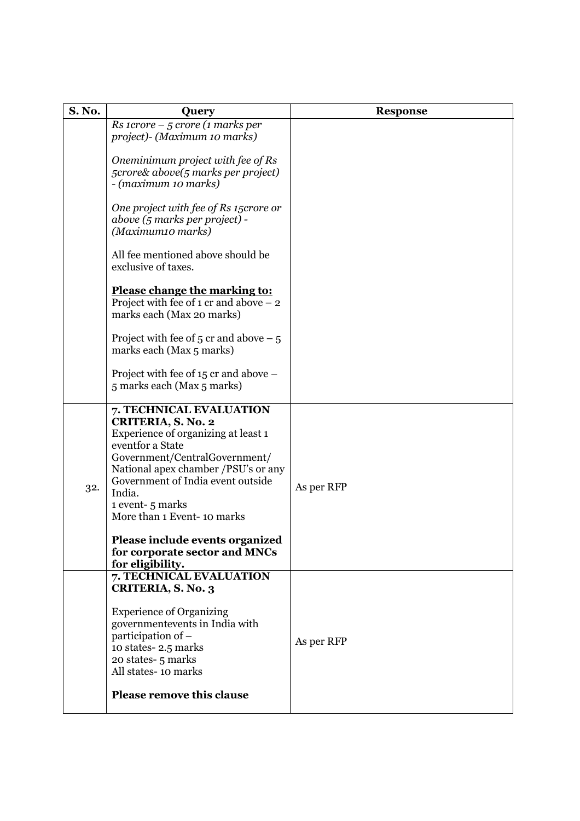| <b>S. No.</b> | Query                                                                                                                                                                                                                                                                                                                                                | <b>Response</b> |
|---------------|------------------------------------------------------------------------------------------------------------------------------------------------------------------------------------------------------------------------------------------------------------------------------------------------------------------------------------------------------|-----------------|
|               | $Rs$ 1crore - 5 crore (1 marks per<br>project)- (Maximum 10 marks)                                                                                                                                                                                                                                                                                   |                 |
|               | Oneminimum project with fee of Rs<br>5crore& above(5 marks per project)<br>- (maximum 10 marks)                                                                                                                                                                                                                                                      |                 |
|               | One project with fee of Rs 15crore or<br>above (5 marks per project) -<br>(Maximum10 marks)                                                                                                                                                                                                                                                          |                 |
|               | All fee mentioned above should be<br>exclusive of taxes.                                                                                                                                                                                                                                                                                             |                 |
|               | Please change the marking to:<br>Project with fee of 1 cr and above $-2$<br>marks each (Max 20 marks)                                                                                                                                                                                                                                                |                 |
|               | Project with fee of 5 cr and above $-5$<br>marks each (Max 5 marks)                                                                                                                                                                                                                                                                                  |                 |
|               | Project with fee of 15 cr and above –<br>5 marks each (Max 5 marks)                                                                                                                                                                                                                                                                                  |                 |
| 32.           | 7. TECHNICAL EVALUATION<br>CRITERIA, S. No. 2<br>Experience of organizing at least 1<br>eventfor a State<br>Government/CentralGovernment/<br>National apex chamber /PSU's or any<br>Government of India event outside<br>India.<br>1 event-5 marks<br>More than 1 Event-10 marks<br>Please include events organized<br>for corporate sector and MNCs | As per RFP      |
|               | for eligibility.                                                                                                                                                                                                                                                                                                                                     |                 |
|               | 7. TECHNICAL EVALUATION<br><b>CRITERIA, S. No. 3</b>                                                                                                                                                                                                                                                                                                 |                 |
|               | <b>Experience of Organizing</b><br>government<br>events in India with<br>participation of -<br>10 states-2.5 marks<br>20 states- 5 marks<br>All states-10 marks                                                                                                                                                                                      | As per RFP      |
|               | <b>Please remove this clause</b>                                                                                                                                                                                                                                                                                                                     |                 |